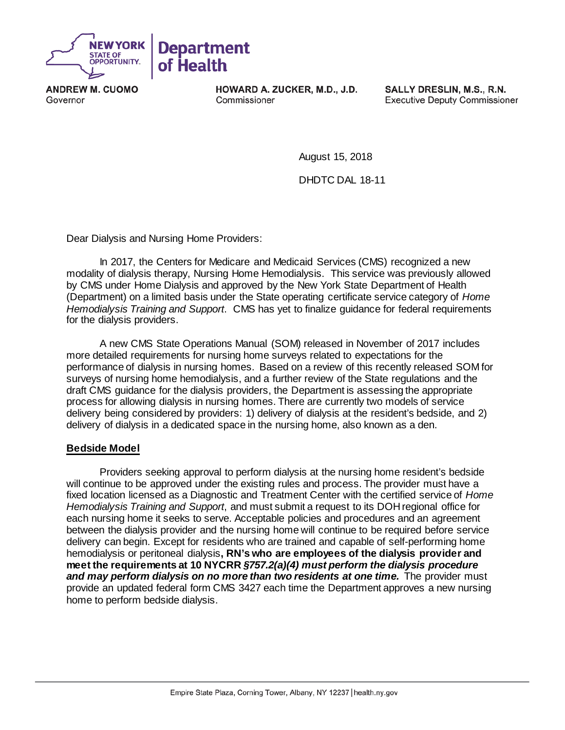

**ANDREW M. CUOMO** Governor

**HOWARD A. ZUCKER, M.D., J.D.** Commissioner

SALLY DRESLIN, M.S., R.N. **Executive Deputy Commissioner** 

August 15, 2018

DHDTC DAL 18-11

Dear Dialysis and Nursing Home Providers:

In 2017, the Centers for Medicare and Medicaid Services (CMS) recognized a new modality of dialysis therapy, Nursing Home Hemodialysis. This service was previously allowed by CMS under Home Dialysis and approved by the New York State Department of Health (Department) on a limited basis under the State operating certificate service category of *Home Hemodialysis Training and Support*. CMS has yet to finalize guidance for federal requirements for the dialysis providers.

A new CMS State Operations Manual (SOM) released in November of 2017 includes more detailed requirements for nursing home surveys related to expectations for the performance of dialysis in nursing homes. Based on a review of this recently released SOM for surveys of nursing home hemodialysis, and a further review of the State regulations and the draft CMS guidance for the dialysis providers, the Department is assessing the appropriate process for allowing dialysis in nursing homes. There are currently two models of service delivery being considered by providers: 1) delivery of dialysis at the resident's bedside, and 2) delivery of dialysis in a dedicated space in the nursing home, also known as a den.

## **Bedside Model**

Providers seeking approval to perform dialysis at the nursing home resident's bedside will continue to be approved under the existing rules and process. The provider must have a fixed location licensed as a Diagnostic and Treatment Center with the certified service of *Home Hemodialysis Training and Support*, and must submit a request to its DOH regional office for each nursing home it seeks to serve. Acceptable policies and procedures and an agreement between the dialysis provider and the nursing home will continue to be required before service delivery can begin. Except for residents who are trained and capable of self-performing home hemodialysis or peritoneal dialysis**, RN's who are employees of the dialysis provider and meet the requirements at 10 NYCRR** *§757.2(a)(4) must perform the dialysis procedure and may perform dialysis on no more than two residents at one time.* **The provider must** provide an updated federal form CMS 3427 each time the Department approves a new nursing home to perform bedside dialysis.